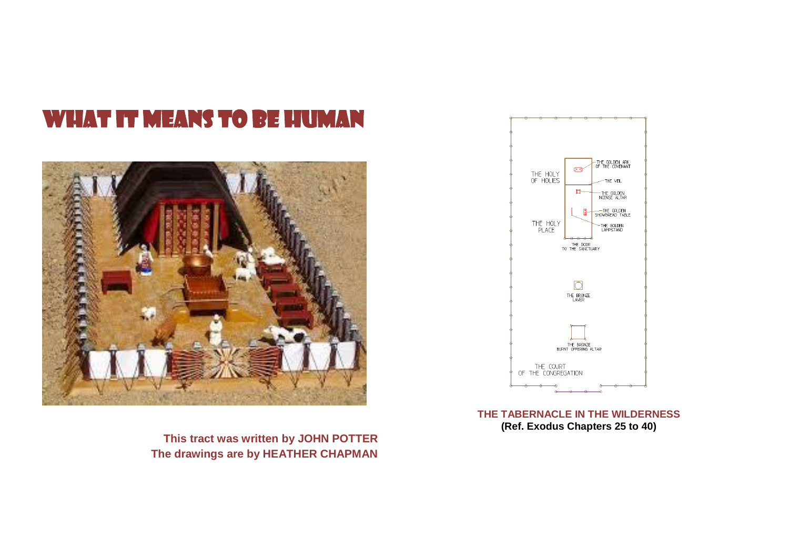# WHAT IT MEANS TO BE HUMAN



**This tract was written by JOHN POTTER The drawings are by HEATHER CHAPMAN**



**THE TABERNACLE IN THE WILDERNESS (Ref. Exodus Chapters 25 to 40)**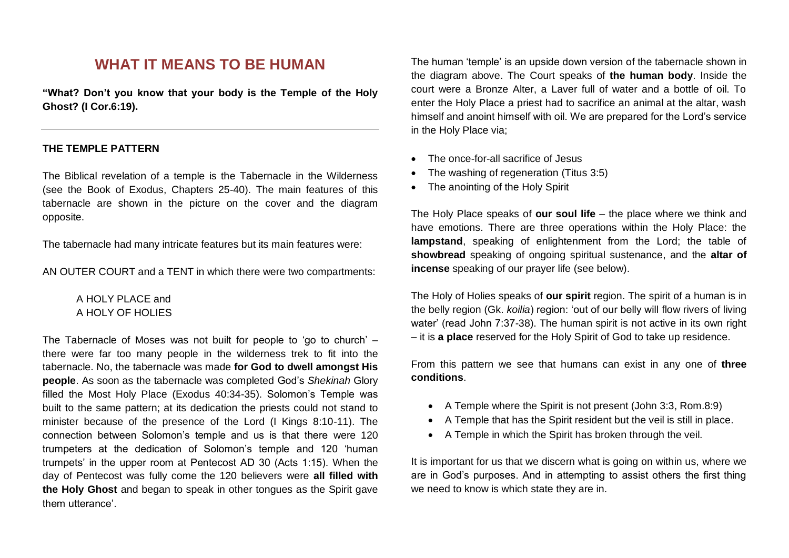# **WHAT IT MEANS TO BE HUMAN**

**"What? Don't you know that your body is the Temple of the Holy Ghost? (I Cor.6:19).**

#### **THE TEMPLE PATTERN**

The Biblical revelation of a temple is the Tabernacle in the Wilderness (see the Book of Exodus, Chapters 25-40). The main features of this tabernacle are shown in the picture on the cover and the diagram opposite.

The tabernacle had many intricate features but its main features were:

AN OUTER COURT and a TENT in which there were two compartments:

#### A HOLY PLACE and A HOLY OF HOLIES

The Tabernacle of Moses was not built for people to 'go to church' – there were far too many people in the wilderness trek to fit into the tabernacle. No, the tabernacle was made **for God to dwell amongst His people**. As soon as the tabernacle was completed God's *Shekinah* Glory filled the Most Holy Place (Exodus 40:34-35). Solomon's Temple was built to the same pattern; at its dedication the priests could not stand to minister because of the presence of the Lord (I Kings 8:10-11). The connection between Solomon's temple and us is that there were 120 trumpeters at the dedication of Solomon's temple and 120 'human trumpets' in the upper room at Pentecost AD 30 (Acts 1:15). When the day of Pentecost was fully come the 120 believers were **all filled with the Holy Ghost** and began to speak in other tongues as the Spirit gave them utterance'.

The human 'temple' is an upside down version of the tabernacle shown in the diagram above. The Court speaks of **the human body**. Inside the court were a Bronze Alter, a Laver full of water and a bottle of oil. To enter the Holy Place a priest had to sacrifice an animal at the altar, wash himself and anoint himself with oil. We are prepared for the Lord's service in the Holy Place via;

- The once-for-all sacrifice of Jesus
- The washing of regeneration (Titus 3:5)
- The anointing of the Holy Spirit

The Holy Place speaks of **our soul life** – the place where we think and have emotions. There are three operations within the Holy Place: the **lampstand**, speaking of enlightenment from the Lord; the table of **showbread** speaking of ongoing spiritual sustenance, and the **altar of incense** speaking of our prayer life (see below).

The Holy of Holies speaks of **our spirit** region. The spirit of a human is in the belly region (Gk. *koilia*) region: 'out of our belly will flow rivers of living water' (read John 7:37-38). The human spirit is not active in its own right – it is **a place** reserved for the Holy Spirit of God to take up residence.

From this pattern we see that humans can exist in any one of **three conditions**.

- A Temple where the Spirit is not present (John 3:3, Rom.8:9)
- A Temple that has the Spirit resident but the veil is still in place.
- A Temple in which the Spirit has broken through the veil.

It is important for us that we discern what is going on within us, where we are in God's purposes. And in attempting to assist others the first thing we need to know is which state they are in.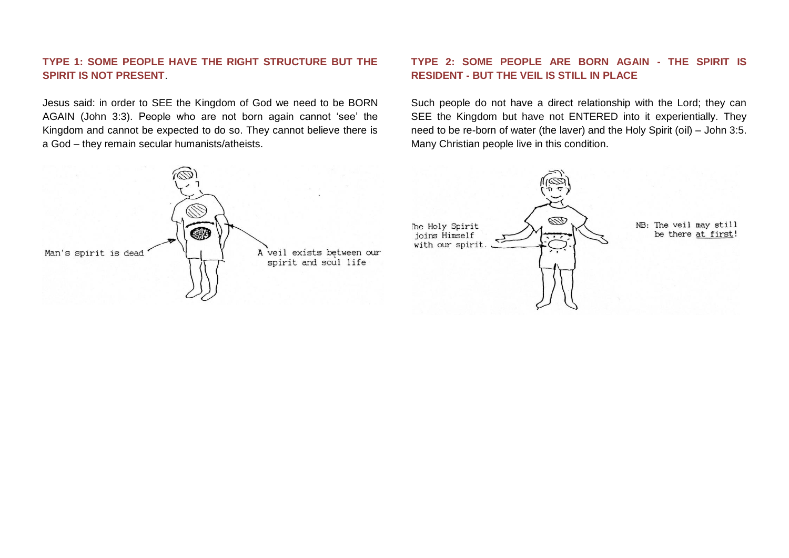## **TYPE 1: SOME PEOPLE HAVE THE RIGHT STRUCTURE BUT THE SPIRIT IS NOT PRESENT**.

Jesus said: in order to SEE the Kingdom of God we need to be BORN AGAIN (John 3:3). People who are not born again cannot 'see' the Kingdom and cannot be expected to do so. They cannot believe there is a God – they remain secular humanists/atheists.



### **TYPE 2: SOME PEOPLE ARE BORN AGAIN - THE SPIRIT IS RESIDENT - BUT THE VEIL IS STILL IN PLACE**

Such people do not have a direct relationship with the Lord; they can SEE the Kingdom but have not ENTERED into it experientially. They need to be re-born of water (the laver) and the Holy Spirit (oil) – John 3:5. Many Christian people live in this condition.